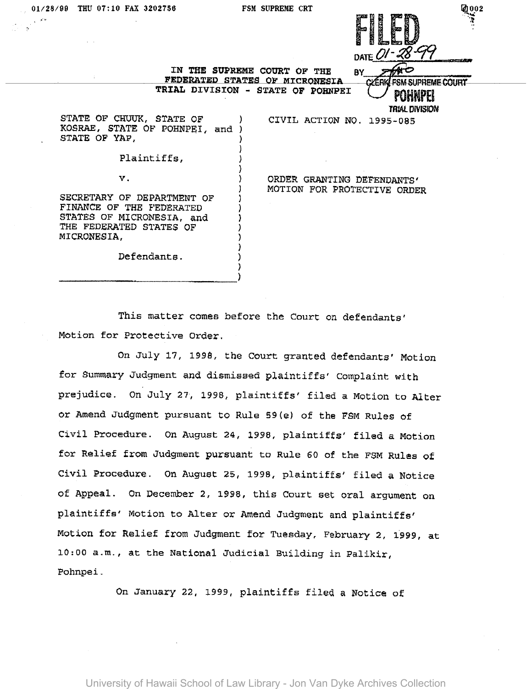

FSM SUPREME COURT

**TRIAL DIVISION** 

'.l

IN THE SUPREME COURT OF THE FEDERATED STATES OF MICRONESIA

TRIAL DIVISION - STATE OF POHNPEI

) ) ) ) ) ) ) ) ) ) } ) )

STATE OF CHUUK, STATE OF KOSRAE, STATE OF POHNPEI, and) STATE OF YAP,

## Plaintiffs,

v.

SECRETARY OF DEPARTMENT OF FINANCE OF THE FEDERATED STATES OF MICRONESIA, and THE FEDERATED STATES OF MICRONESIA,

ORDER GRANTING DEFENDANTS' MOTION FOR PROTECTIVE ORDER

CIVIL ACTION NO. 1995-085

BY

**YERK** 

Defendants.

----------------------------)

This matter comes before the Court on defendants' Motion for Protective Order.

On July 17, 1995, the Court granted defendants' Motion for Summary Judgment and dismissed plaintiffs' Complaint with prejudice. On July 27, 1998, plaintiffs' filed a Motion to Alter or Amend Judgment pursuant to Rule *59(e)* of the FSM Rules of Civil Procedure. On August 24, 1996, plaintiffs' filed a Motion for Relief from Judgment pursuant to Rule 60 of the FSM Rules of Civil Procedure. On August 25, 1998, plaintiffs' filed a Notice of Appeal. On December 2, 1998, this Court set oral argument on plaintiffs' Motion to Alter or Amend Judgment and plaintiffs' Motion for Relief from Judgment for Tuesday, February 2, 1999, at 10:00 a.m., at the National Judicial Building in palikir, Pohnpei.

On January 22, 1999, plaintiffs filed a Notice of

University of Hawaii School of Law Library - Jon Van Dyke Archives Collection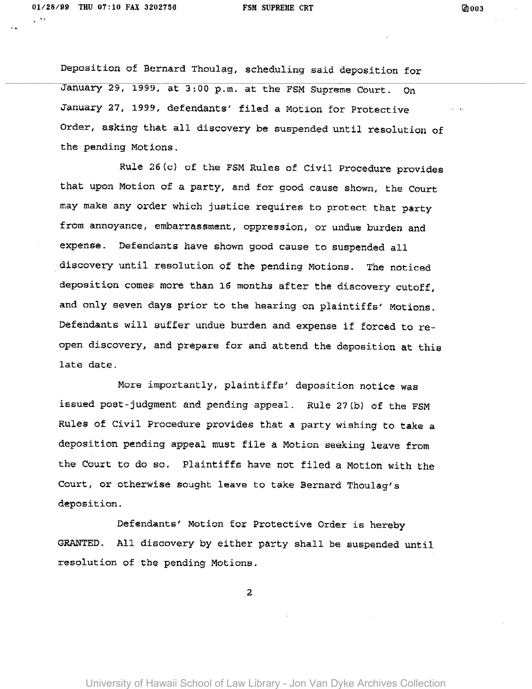, .

Deposition of Bernard Thoulag, scheduling said deposition for January 29, 1999, at 3:00 p.m. at the FSM Supreme Court. On January 27, 1999, defendants' filed a Motion for Protective Order, asking that all discovery be suspended until resolution of the pending Motions.

Rule 26(c) of the FSM Rules of Civil Procedure provides that upon Motion of a party, and for good cause shown, the Court may make any order which justice requires to protect that party from annoyance, embarrassment, oppression, or undue burden and expense. Defendants have shown good cause to suspended all discovery until resolution of the pending Motions. The noticed deposition comes more than 16 months after the discovery cutoff, and only seven days prior to the hearing on plaintiffs' Motions. Defendants will suffer undue burden and expense if forced to reopen discovery, and prepare for and attend the deposition at this late date.

More importantly, plaintiffs' deposition notice was issued post-judgment and pending appeal. Rule 27{b) of the FSM Rules of Civil Procedure provides that a party wishing to take a deposition pending appeal must file a Motion seeking leave from the Court to do so. Plaintiffs have not filed a Motion with the Court, or otherwise sought leave to take Bernard Thoulag's deposition.

Defendants' Motion for Protective Order is hereby GRANTED. All discovery by either party shall be suspended until resolution of the pending Motions.

2

University of Hawaii School of Law Library - Jon Van Dyke Archives Collection